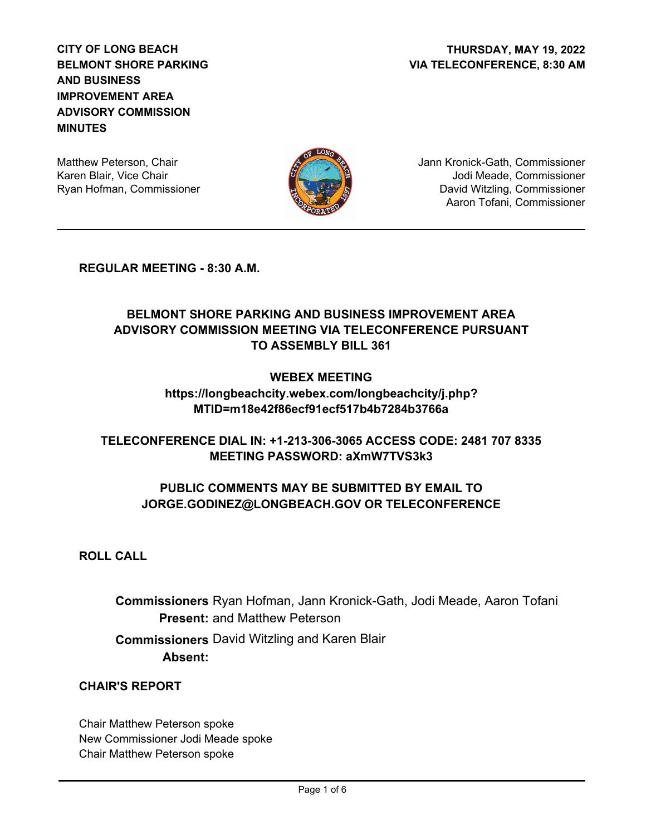**CITY OF LONG BEACH BELMONT SHORE PARKING AND BUSINESS IMPROVEMENT AREA ADVISORY COMMISSION MINUTES**

Matthew Peterson, Chair Karen Blair, Vice Chair Ryan Hofman, Commissioner



Jann Kronick-Gath, Commissioner Jodi Meade, Commissioner David Witzling, Commissioner Aaron Tofani, Commissioner

**REGULAR MEETING - 8:30 A.M.**

## **BELMONT SHORE PARKING AND BUSINESS IMPROVEMENT AREA ADVISORY COMMISSION MEETING VIA TELECONFERENCE PURSUANT TO ASSEMBLY BILL 361**

#### **WEBEX MEETING**

**https://longbeachcity.webex.com/longbeachcity/j.php? MTID=m18e42f86ecf91ecf517b4b7284b3766a**

### **TELECONFERENCE DIAL IN: +1-213-306-3065 ACCESS CODE: 2481 707 8335 MEETING PASSWORD: aXmW7TVS3k3**

### **PUBLIC COMMENTS MAY BE SUBMITTED BY EMAIL TO JORGE.GODINEZ@LONGBEACH.GOV OR TELECONFERENCE**

**ROLL CALL**

**Commissioners** Ryan Hofman, Jann Kronick-Gath, Jodi Meade, Aaron Tofani Present: and Matthew Peterson  **Commissioners** David Witzling and Karen Blair **Absent:**

### **CHAIR'S REPORT**

Chair Matthew Peterson spoke New Commissioner Jodi Meade spoke Chair Matthew Peterson spoke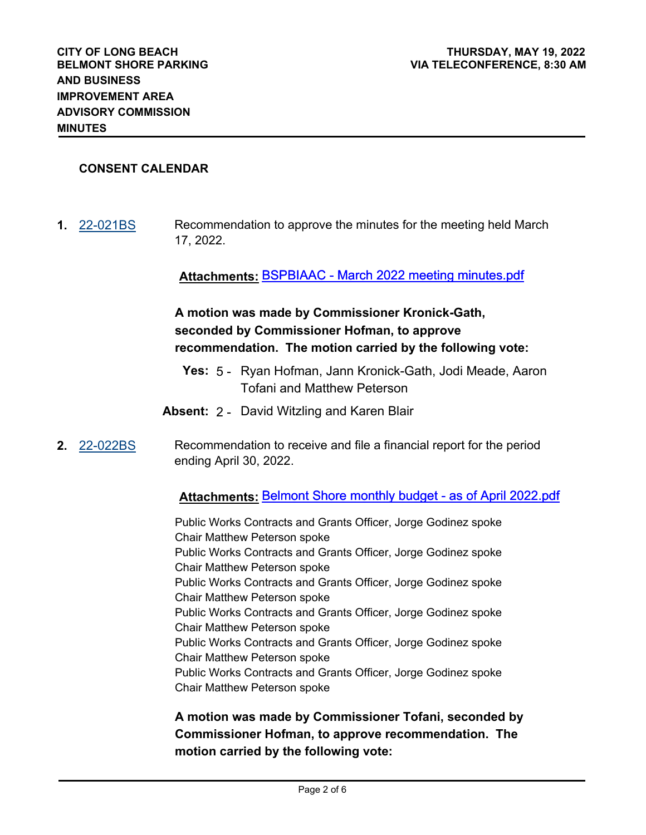#### **CONSENT CALENDAR**

**MINUTES**

**1.** [22-021BS](http://longbeach.legistar.com/gateway.aspx?M=L&ID=239644) Recommendation to approve the minutes for the meeting held March 17, 2022.

**Attachments:** BSPBIAAC - March 2022 meeting minutes.pdf

# **A motion was made by Commissioner Kronick-Gath, seconded by Commissioner Hofman, to approve recommendation. The motion carried by the following vote:**

- **Yes:** 5 Ryan Hofman, Jann Kronick-Gath, Jodi Meade, Aaron Tofani and Matthew Peterson
- **Absent:** 2 David Witzling and Karen Blair
- **2.** [22-022BS](http://longbeach.legistar.com/gateway.aspx?M=L&ID=239645) Recommendation to receive and file a financial report for the period ending April 30, 2022.

#### **Attachments:** Belmont Shore monthly budget - as of April 2022.pdf

Public Works Contracts and Grants Officer, Jorge Godinez spoke Chair Matthew Peterson spoke Public Works Contracts and Grants Officer, Jorge Godinez spoke Chair Matthew Peterson spoke Public Works Contracts and Grants Officer, Jorge Godinez spoke Chair Matthew Peterson spoke Public Works Contracts and Grants Officer, Jorge Godinez spoke Chair Matthew Peterson spoke Public Works Contracts and Grants Officer, Jorge Godinez spoke Chair Matthew Peterson spoke Public Works Contracts and Grants Officer, Jorge Godinez spoke Chair Matthew Peterson spoke

**A motion was made by Commissioner Tofani, seconded by Commissioner Hofman, to approve recommendation. The motion carried by the following vote:**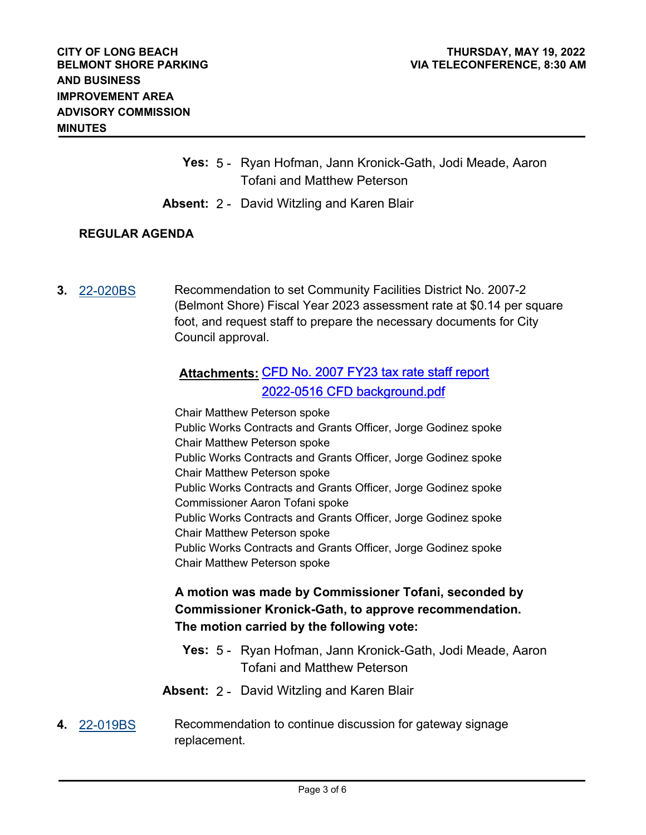- **Yes:** 5 Ryan Hofman, Jann Kronick-Gath, Jodi Meade, Aaron Tofani and Matthew Peterson
- **Absent:** 2 David Witzling and Karen Blair

#### **REGULAR AGENDA**

**3.** [22-020BS](http://longbeach.legistar.com/gateway.aspx?M=L&ID=239643) Recommendation to set Community Facilities District No. 2007-2 (Belmont Shore) Fiscal Year 2023 assessment rate at \$0.14 per square foot, and request staff to prepare the necessary documents for City Council approval.

# **Attachments:** CFD No. 2007 FY23 tax rate staff report 2022-0516 CFD background.pdf

Chair Matthew Peterson spoke Public Works Contracts and Grants Officer, Jorge Godinez spoke Chair Matthew Peterson spoke Public Works Contracts and Grants Officer, Jorge Godinez spoke Chair Matthew Peterson spoke Public Works Contracts and Grants Officer, Jorge Godinez spoke Commissioner Aaron Tofani spoke Public Works Contracts and Grants Officer, Jorge Godinez spoke Chair Matthew Peterson spoke Public Works Contracts and Grants Officer, Jorge Godinez spoke Chair Matthew Peterson spoke

## **A motion was made by Commissioner Tofani, seconded by Commissioner Kronick-Gath, to approve recommendation. The motion carried by the following vote:**

- **Yes:** 5 Ryan Hofman, Jann Kronick-Gath, Jodi Meade, Aaron Tofani and Matthew Peterson
- **Absent:** 2 David Witzling and Karen Blair
- **4.** [22-019BS](http://longbeach.legistar.com/gateway.aspx?M=L&ID=239642) Recommendation to continue discussion for gateway signage replacement.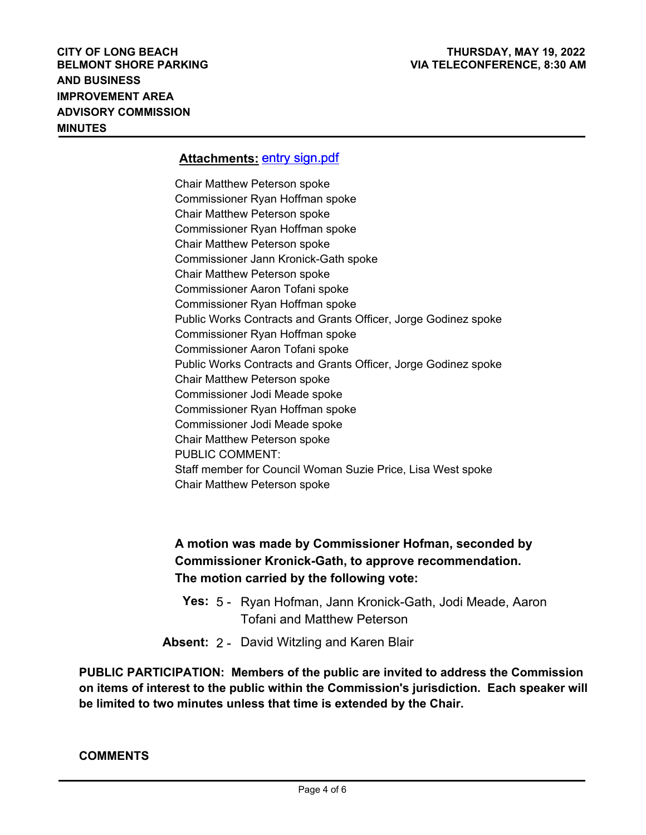#### **Attachments:** entry sign.pdf

Chair Matthew Peterson spoke Commissioner Ryan Hoffman spoke Chair Matthew Peterson spoke Commissioner Ryan Hoffman spoke Chair Matthew Peterson spoke Commissioner Jann Kronick-Gath spoke Chair Matthew Peterson spoke Commissioner Aaron Tofani spoke Commissioner Ryan Hoffman spoke Public Works Contracts and Grants Officer, Jorge Godinez spoke Commissioner Ryan Hoffman spoke Commissioner Aaron Tofani spoke Public Works Contracts and Grants Officer, Jorge Godinez spoke Chair Matthew Peterson spoke Commissioner Jodi Meade spoke Commissioner Ryan Hoffman spoke Commissioner Jodi Meade spoke Chair Matthew Peterson spoke PUBLIC COMMENT: Staff member for Council Woman Suzie Price, Lisa West spoke Chair Matthew Peterson spoke

**A motion was made by Commissioner Hofman, seconded by Commissioner Kronick-Gath, to approve recommendation. The motion carried by the following vote:**

- **Yes:** 5 Ryan Hofman, Jann Kronick-Gath, Jodi Meade, Aaron Tofani and Matthew Peterson
- **Absent:** 2 David Witzling and Karen Blair

**PUBLIC PARTICIPATION: Members of the public are invited to address the Commission on items of interest to the public within the Commission's jurisdiction. Each speaker will be limited to two minutes unless that time is extended by the Chair.**

#### **COMMENTS**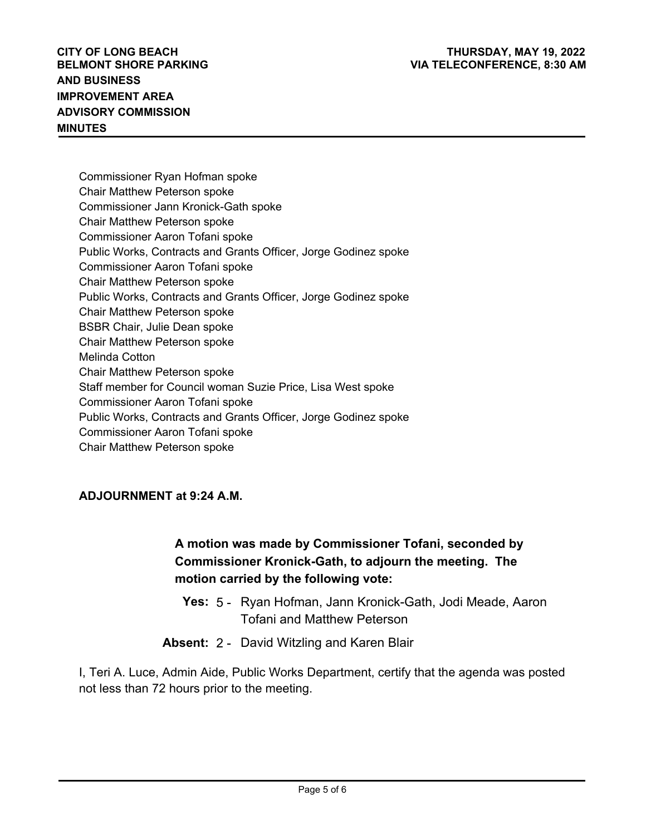Commissioner Ryan Hofman spoke Chair Matthew Peterson spoke Commissioner Jann Kronick-Gath spoke Chair Matthew Peterson spoke Commissioner Aaron Tofani spoke Public Works, Contracts and Grants Officer, Jorge Godinez spoke Commissioner Aaron Tofani spoke Chair Matthew Peterson spoke Public Works, Contracts and Grants Officer, Jorge Godinez spoke Chair Matthew Peterson spoke BSBR Chair, Julie Dean spoke Chair Matthew Peterson spoke Melinda Cotton Chair Matthew Peterson spoke Staff member for Council woman Suzie Price, Lisa West spoke Commissioner Aaron Tofani spoke Public Works, Contracts and Grants Officer, Jorge Godinez spoke Commissioner Aaron Tofani spoke Chair Matthew Peterson spoke

### **ADJOURNMENT at 9:24 A.M.**

# **A motion was made by Commissioner Tofani, seconded by Commissioner Kronick-Gath, to adjourn the meeting. The motion carried by the following vote:**

- **Yes:** 5 Ryan Hofman, Jann Kronick-Gath, Jodi Meade, Aaron Tofani and Matthew Peterson
- **Absent:** 2 David Witzling and Karen Blair

I, Teri A. Luce, Admin Aide, Public Works Department, certify that the agenda was posted not less than 72 hours prior to the meeting.